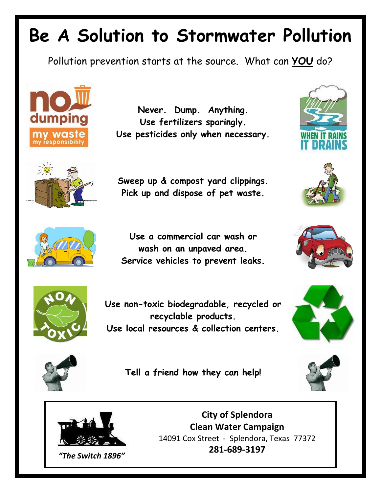## **Be A Solution to Stormwater Pollution**

Pollution prevention starts at the source. What can **YOU** do?



**Never. Dump. Anything. Use fertilizers sparingly. Use pesticides only when necessary.**









**Use a commercial car wash or wash on an unpaved area. Service vehicles to prevent leaks.**





**Use non-toxic biodegradable, recycled or recyclable products. Use local resources & collection centers.**





**Tell a friend how they can help!**





**City of Splendora Clean Water Campaign** 14091 Cox Street - Splendora, Texas 77372 **281-689-3197**